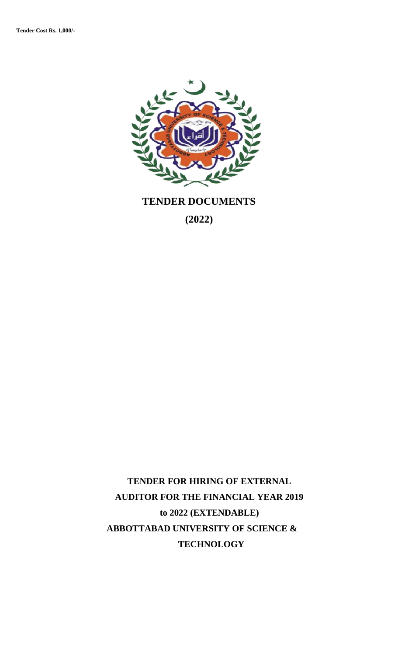

**TENDER DOCUMENTS** 

**(2022)**

**TENDER FOR HIRING OF EXTERNAL AUDITOR FOR THE FINANCIAL YEAR 2019 to 2022 (EXTENDABLE) ABBOTTABAD UNIVERSITY OF SCIENCE & TECHNOLOGY**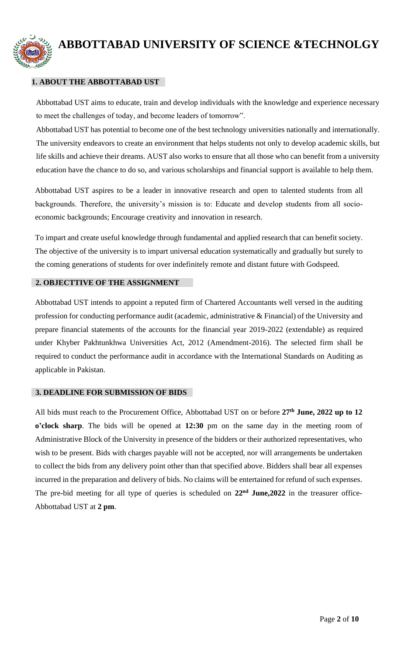

# **ABBOTTABAD UNIVERSITY OF SCIENCE &TECHNOLGY**

# **1. ABOUT THE ABBOTTABAD UST**

Abbottabad UST aims to educate, train and develop individuals with the knowledge and experience necessary to meet the challenges of today, and become leaders of tomorrow".

Abbottabad UST has potential to become one of the best technology universities nationally and internationally. The university endeavors to create an environment that helps students not only to develop academic skills, but life skills and achieve their dreams. AUST also works to ensure that all those who can benefit from a university education have the chance to do so, and various scholarships and financial support is available to help them.

Abbottabad UST aspires to be a leader in innovative research and open to talented students from all backgrounds. Therefore, the university's mission is to: Educate and develop students from all socioeconomic backgrounds; Encourage creativity and innovation in research.

To impart and create useful knowledge through fundamental and applied research that can benefit society. The objective of the university is to impart universal education systematically and gradually but surely to the coming generations of students for over indefinitely remote and distant future with Godspeed.

#### **2. OBJECTTIVE OF THE ASSIGNMENT**

Abbottabad UST intends to appoint a reputed firm of Chartered Accountants well versed in the auditing profession for conducting performance audit (academic, administrative & Financial) of the University and prepare financial statements of the accounts for the financial year 2019-2022 (extendable) as required under Khyber Pakhtunkhwa Universities Act, 2012 (Amendment-2016). The selected firm shall be required to conduct the performance audit in accordance with the International Standards on Auditing as applicable in Pakistan.

#### **3. DEADLINE FOR SUBMISSION OF BIDS**

All bids must reach to the Procurement Office, Abbottabad UST on or before **27th June, 2022 up to 12 o'clock sharp**. The bids will be opened at **12:30** pm on the same day in the meeting room of Administrative Block of the University in presence of the bidders or their authorized representatives, who wish to be present. Bids with charges payable will not be accepted, nor will arrangements be undertaken to collect the bids from any delivery point other than that specified above. Bidders shall bear all expenses incurred in the preparation and delivery of bids. No claims will be entertained for refund of such expenses. The pre-bid meeting for all type of queries is scheduled on **22nd June,2022** in the treasurer office-Abbottabad UST at **2 pm**.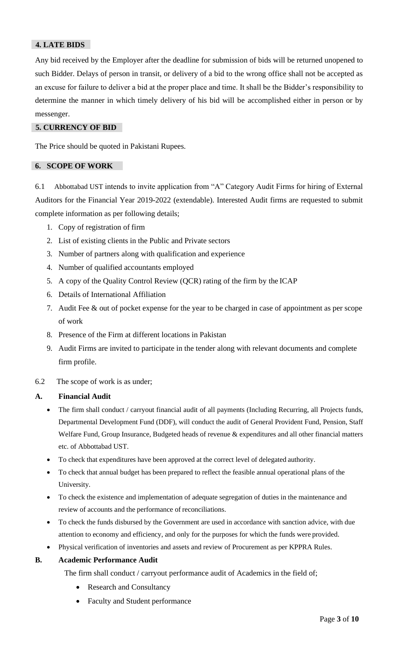# **4. LATE BIDS**

Any bid received by the Employer after the deadline for submission of bids will be returned unopened to such Bidder. Delays of person in transit, or delivery of a bid to the wrong office shall not be accepted as an excuse for failure to deliver a bid at the proper place and time. It shall be the Bidder's responsibility to determine the manner in which timely delivery of his bid will be accomplished either in person or by messenger.

#### **5. CURRENCY OF BID**

The Price should be quoted in Pakistani Rupees.

#### **6. SCOPE OF WORK**

6.1 Abbottabad UST intends to invite application from "A" Category Audit Firms for hiring of External Auditors for the Financial Year 2019-2022 (extendable). Interested Audit firms are requested to submit complete information as per following details;

- 1. Copy of registration of firm
- 2. List of existing clients in the Public and Private sectors
- 3. Number of partners along with qualification and experience
- 4. Number of qualified accountants employed
- 5. A copy of the Quality Control Review (QCR) rating of the firm by the ICAP
- 6. Details of International Affiliation
- 7. Audit Fee & out of pocket expense for the year to be charged in case of appointment as per scope of work
- 8. Presence of the Firm at different locations in Pakistan
- 9. Audit Firms are invited to participate in the tender along with relevant documents and complete firm profile.
- 6.2 The scope of work is as under;

# **A. Financial Audit**

- The firm shall conduct / carryout financial audit of all payments (Including Recurring, all Projects funds, Departmental Development Fund (DDF), will conduct the audit of General Provident Fund, Pension, Staff Welfare Fund, Group Insurance, Budgeted heads of revenue & expenditures and all other financial matters etc. of Abbottabad UST.
- To check that expenditures have been approved at the correct level of delegated authority.
- To check that annual budget has been prepared to reflect the feasible annual operational plans of the University.
- To check the existence and implementation of adequate segregation of duties in the maintenance and review of accounts and the performance of reconciliations.
- To check the funds disbursed by the Government are used in accordance with sanction advice, with due attention to economy and efficiency, and only for the purposes for which the funds were provided.
- Physical verification of inventories and assets and review of Procurement as per KPPRA Rules.

#### **B. Academic Performance Audit**

The firm shall conduct / carryout performance audit of Academics in the field of;

- Research and Consultancy
- Faculty and Student performance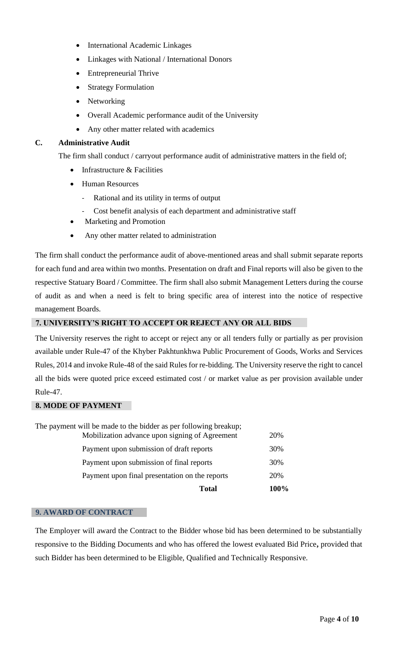- International Academic Linkages
- Linkages with National / International Donors
- Entrepreneurial Thrive
- **Strategy Formulation**
- Networking
- Overall Academic performance audit of the University
- Any other matter related with academics

# **C. Administrative Audit**

The firm shall conduct / carryout performance audit of administrative matters in the field of;

- Infrastructure & Facilities
- Human Resources
	- Rational and its utility in terms of output
	- Cost benefit analysis of each department and administrative staff
- Marketing and Promotion
- Any other matter related to administration

The firm shall conduct the performance audit of above-mentioned areas and shall submit separate reports for each fund and area within two months. Presentation on draft and Final reports will also be given to the respective Statuary Board / Committee. The firm shall also submit Management Letters during the course of audit as and when a need is felt to bring specific area of interest into the notice of respective management Boards.

# **7. UNIVERSITY'S RIGHT TO ACCEPT OR REJECT ANY OR ALL BIDS**

The University reserves the right to accept or reject any or all tenders fully or partially as per provision available under Rule-47 of the Khyber Pakhtunkhwa Public Procurement of Goods, Works and Services Rules, 2014 and invoke Rule-48 of the said Rules for re-bidding. The University reserve the right to cancel all the bids were quoted price exceed estimated cost / or market value as per provision available under Rule-47.

#### **8. MODE OF PAYMENT**

| <b>Total</b>                                                     | 100% |
|------------------------------------------------------------------|------|
| Payment upon final presentation on the reports                   | 20%  |
| Payment upon submission of final reports                         | 30%  |
| Payment upon submission of draft reports                         | 30%  |
| Mobilization advance upon signing of Agreement                   | 20%  |
| The payment will be made to the bidder as per following breakup; |      |

#### **9. AWARD OF CONTRACT**

The Employer will award the Contract to the Bidder whose bid has been determined to be substantially responsive to the Bidding Documents and who has offered the lowest evaluated Bid Price**,** provided that such Bidder has been determined to be Eligible, Qualified and Technically Responsive.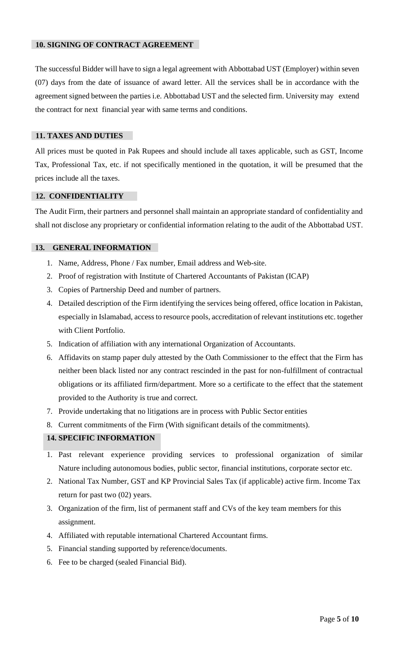#### **10. SIGNING OF CONTRACT AGREEMENT**

The successful Bidder will have to sign a legal agreement with Abbottabad UST (Employer) within seven (07) days from the date of issuance of award letter. All the services shall be in accordance with the agreement signed between the parties i.e. Abbottabad UST and the selected firm. University may extend the contract for next financial year with same terms and conditions.

#### **11. TAXES AND DUTIES**

All prices must be quoted in Pak Rupees and should include all taxes applicable, such as GST, Income Tax, Professional Tax, etc. if not specifically mentioned in the quotation, it will be presumed that the prices include all the taxes.

#### **12. CONFIDENTIALITY**

The Audit Firm, their partners and personnel shall maintain an appropriate standard of confidentiality and shall not disclose any proprietary or confidential information relating to the audit of the Abbottabad UST.

#### **13. GENERAL INFORMATION**

- 1. Name, Address, Phone / Fax number, Email address and Web-site.
- 2. Proof of registration with Institute of Chartered Accountants of Pakistan (ICAP)
- 3. Copies of Partnership Deed and number of partners.
- 4. Detailed description of the Firm identifying the services being offered, office location in Pakistan, especially in Islamabad, access to resource pools, accreditation of relevant institutions etc. together with Client Portfolio.
- 5. Indication of affiliation with any international Organization of Accountants.
- 6. Affidavits on stamp paper duly attested by the Oath Commissioner to the effect that the Firm has neither been black listed nor any contract rescinded in the past for non-fulfillment of contractual obligations or its affiliated firm/department. More so a certificate to the effect that the statement provided to the Authority is true and correct.
- 7. Provide undertaking that no litigations are in process with Public Sector entities
- 8. Current commitments of the Firm (With significant details of the commitments).

#### **14. SPECIFIC INFORMATION**

- 1. Past relevant experience providing services to professional organization of similar Nature including autonomous bodies, public sector, financial institutions, corporate sector etc.
- 2. National Tax Number, GST and KP Provincial Sales Tax (if applicable) active firm. Income Tax return for past two (02) years.
- 3. Organization of the firm, list of permanent staff and CVs of the key team members for this assignment.
- 4. Affiliated with reputable international Chartered Accountant firms.
- 5. Financial standing supported by reference/documents.
- 6. Fee to be charged (sealed Financial Bid).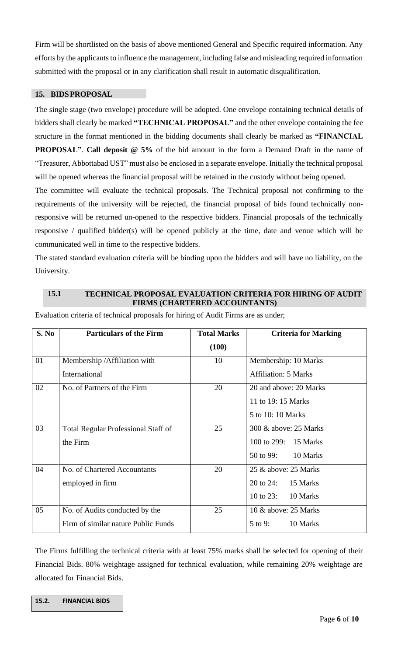Firm will be shortlisted on the basis of above mentioned General and Specific required information. Any efforts by the applicants to influence the management, including false and misleading required information submitted with the proposal or in any clarification shall result in automatic disqualification.

#### **15. BIDSPROPOSAL**

The single stage (two envelope) procedure will be adopted. One envelope containing technical details of bidders shall clearly be marked **"TECHNICAL PROPOSAL"** and the other envelope containing the fee structure in the format mentioned in the bidding documents shall clearly be marked as **"FINANCIAL PROPOSAL"**. **Call deposit @ 5%** of the bid amount in the form a Demand Draft in the name of "Treasurer, Abbottabad UST" must also be enclosed in a separate envelope. Initially the technical proposal will be opened whereas the financial proposal will be retained in the custody without being opened.

The committee will evaluate the technical proposals. The Technical proposal not confirming to the requirements of the university will be rejected, the financial proposal of bids found technically nonresponsive will be returned un-opened to the respective bidders. Financial proposals of the technically responsive / qualified bidder(s) will be opened publicly at the time, date and venue which will be communicated well in time to the respective bidders.

The stated standard evaluation criteria will be binding upon the bidders and will have no liability, on the University.

#### **15.1 TECHNICAL PROPOSAL EVALUATION CRITERIA FOR HIRING OF AUDIT FIRMS (CHARTERED ACCOUNTANTS)**

| S. No | <b>Particulars of the Firm</b>             | <b>Total Marks</b> | <b>Criteria for Marking</b> |
|-------|--------------------------------------------|--------------------|-----------------------------|
|       |                                            | (100)              |                             |
| 01    | Membership / Affiliation with              | 10                 | Membership: 10 Marks        |
|       | International                              |                    | <b>Affiliation: 5 Marks</b> |
| 02    | No. of Partners of the Firm                | 20                 | 20 and above: 20 Marks      |
|       |                                            |                    | 11 to 19: 15 Marks          |
|       |                                            |                    | 5 to 10: 10 Marks           |
| 03    | <b>Total Regular Professional Staff of</b> | 25                 | 300 & above: 25 Marks       |
|       | the Firm                                   |                    | 100 to 299: 15 Marks        |
|       |                                            |                    | 50 to 99:<br>10 Marks       |
| 04    | No. of Chartered Accountants               | 20                 | 25 & above: 25 Marks        |
|       | employed in firm                           |                    | 20 to 24: 15 Marks          |
|       |                                            |                    | 10 to 23:<br>10 Marks       |
| 05    | No. of Audits conducted by the             | 25                 | 10 & above: 25 Marks        |
|       | Firm of similar nature Public Funds        |                    | 10 Marks<br>$5$ to 9:       |

Evaluation criteria of technical proposals for hiring of Audit Firms are as under;

The Firms fulfilling the technical criteria with at least 75% marks shall be selected for opening of their Financial Bids. 80% weightage assigned for technical evaluation, while remaining 20% weightage are allocated for Financial Bids.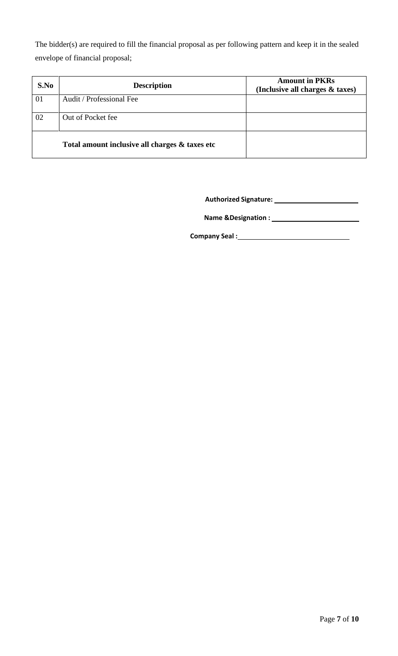The bidder(s) are required to fill the financial proposal as per following pattern and keep it in the sealed envelope of financial proposal;

| S.No | <b>Description</b>                             | <b>Amount in PKRs</b><br>(Inclusive all charges & taxes) |
|------|------------------------------------------------|----------------------------------------------------------|
| 01   | Audit / Professional Fee                       |                                                          |
| 02   | Out of Pocket fee                              |                                                          |
|      | Total amount inclusive all charges & taxes etc |                                                          |

**Authorized Signature:**

**Name &Designation :**

**Company Seal :**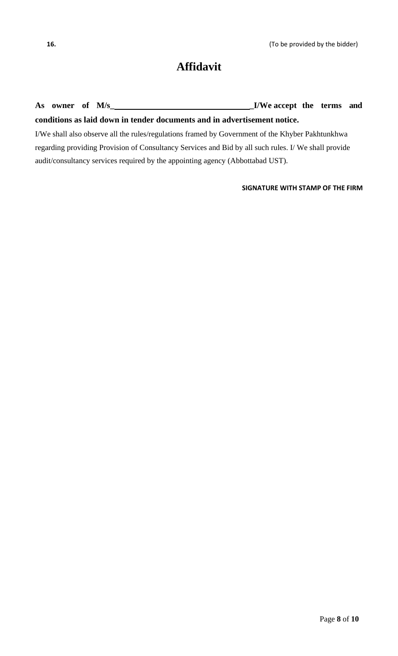# **Affidavit**

**As owner of M/s\_ \_I/We accept the terms and conditions as laid down in tender documents and in advertisement notice.**

I/We shall also observe all the rules/regulations framed by Government of the Khyber Pakhtunkhwa regarding providing Provision of Consultancy Services and Bid by all such rules. I/ We shall provide audit/consultancy services required by the appointing agency (Abbottabad UST).

# **SIGNATURE WITH STAMP OF THE FIRM**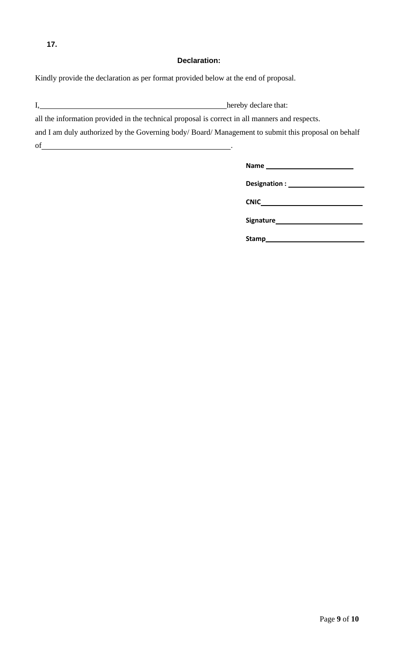#### **Declaration:**

Kindly provide the declaration as per format provided below at the end of proposal.

I, hereby declare that:

all the information provided in the technical proposal is correct in all manners and respects.

and I am duly authorized by the Governing body/ Board/ Management to submit this proposal on behalf of .

| Designation : ______ |  |
|----------------------|--|
| CNIC_                |  |
| <b>Signature</b>     |  |
| Stamp___             |  |